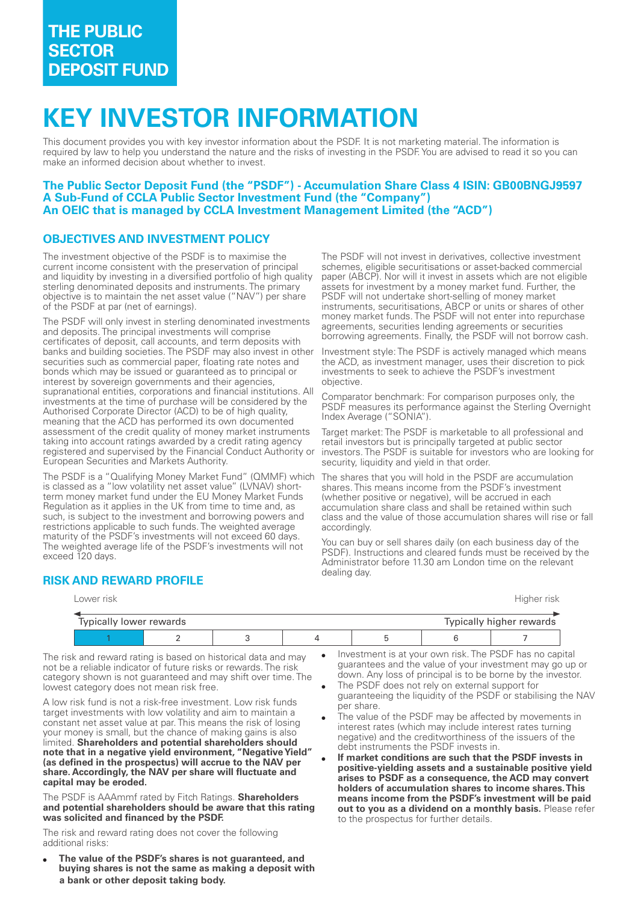# **KEY INVESTOR INFORMATION**

This document provides you with key investor information about the PSDF. It is not marketing material. The information is required by law to help you understand the nature and the risks of investing in the PSDF. You are advised to read it so you can make an informed decision about whether to invest.

### **The Public Sector Deposit Fund (the "PSDF") Accumulation Share Class 4 ISIN: GB00BNGJ9597 A SubFund of CCLA Public Sector Investment Fund (the "Company") An OEIC that is managed by CCLA Investment Management Limited (the "ACD")**

## **OBJECTIVES AND INVESTMENT POLICY**

The investment objective of the PSDF is to maximise the current income consistent with the preservation of principal and liquidity by investing in a diversified portfolio of high quality sterling denominated deposits and instruments. The primary objective is to maintain the net asset value ("NAV") per share of the PSDF at par (net of earnings).

The PSDF will only invest in sterling denominated investments and deposits. The principal investments will comprise certificates of deposit, call accounts, and term deposits with banks and building societies. The PSDF may also invest in other securities such as commercial paper, floating rate notes and bonds which may be issued or guaranteed as to principal or interest by sovereign governments and their agencies, supranational entities, corporations and financial institutions. All investments at the time of purchase will be considered by the Authorised Corporate Director (ACD) to be of high quality, meaning that the ACD has performed its own documented assessment of the credit quality of money market instruments taking into account ratings awarded by a credit rating agency registered and supervised by the Financial Conduct Authority or European Securities and Markets Authority.

The PSDF is a "Qualifying Money Market Fund" (QMMF) which is classed as a "low volatility net asset value" (LVNAV) shortterm money market fund under the EU Money Market Funds Regulation as it applies in the UK from time to time and, as such, is subject to the investment and borrowing powers and restrictions applicable to such funds. The weighted average maturity of the PSDF's investments will not exceed 60 days. The weighted average life of the PSDF's investments will not exceed 120 days.

The PSDF will not invest in derivatives, collective investment schemes, eligible securitisations or asset-backed commercial paper (ABCP). Nor will it invest in assets which are not eligible assets for investment by a money market fund. Further, the PSDF will not undertake short-selling of money market instruments, securitisations, ABCP or units or shares of other money market funds. The PSDF will not enter into repurchase agreements, securities lending agreements or securities borrowing agreements. Finally, the PSDF will not borrow cash.

Investment style: The PSDF is actively managed which means the ACD, as investment manager, uses their discretion to pick investments to seek to achieve the PSDF's investment objective.

Comparator benchmark: For comparison purposes only, the PSDF measures its performance against the Sterling Overnight Index Average ("SONIA").

Target market: The PSDF is marketable to all professional and retail investors but is principally targeted at public sector investors. The PSDF is suitable for investors who are looking for security, liquidity and yield in that order.

The shares that you will hold in the PSDF are accumulation shares. This means income from the PSDF's investment (whether positive or negative), will be accrued in each accumulation share class and shall be retained within such class and the value of those accumulation shares will rise or fall accordingly.

You can buy or sell shares daily (on each business day of the PSDF). Instructions and cleared funds must be received by the Administrator before 11.30 am London time on the relevant

| <b>RISK AND REWARD PROFILE</b> | dealing day. |
|--------------------------------|--------------|
|--------------------------------|--------------|

| Lower risk              |  |  |  |  | Higher risk |                          |
|-------------------------|--|--|--|--|-------------|--------------------------|
|                         |  |  |  |  |             |                          |
| Typically lower rewards |  |  |  |  |             | Typically higher rewards |
|                         |  |  |  |  |             |                          |

The risk and reward rating is based on historical data and may not be a reliable indicator of future risks or rewards. The risk category shown is not guaranteed and may shift over time. The lowest category does not mean risk free.

A low risk fund is not a risk-free investment. Low risk funds target investments with low volatility and aim to maintain a constant net asset value at par. This means the risk of losing your money is small, but the chance of making gains is also limited. **Shareholders and potential shareholders should note that in a negative yield environment, "Negative Yield" (as defined in the prospectus) will accrue to the NAV per share. Accordingly, the NAV per share will fluctuate and capital may be eroded.**

The PSDF is AAAmmf rated by Fitch Ratings. **Shareholders and potential shareholders should be aware that this rating was solicited and financed by the PSDF.**

The risk and reward rating does not cover the following additional risks:

The value of the PSDF's shares is not guaranteed, and **buying shares is not the same as making a deposit with a bank or other deposit taking body.**

- Investment is at your own risk. The PSDF has no capital guarantees and the value of your investment may go up or down. Any loss of principal is to be borne by the investor.
- The PSDF does not rely on external support for guaranteeing the liquidity of the PSDF or stabilising the NAV per share.
- The value of the PSDF may be affected by movements in interest rates (which may include interest rates turning negative) and the creditworthiness of the issuers of the debt instruments the PSDF invests in.
- **If market conditions are such that the PSDF invests in positiveyielding assets and a sustainable positive yield arises to PSDF as a consequence, the ACD may convert holders of accumulation shares to income shares. This means income from the PSDF's investment will be paid out to you as a dividend on a monthly basis.** Please refer to the prospectus for further details.